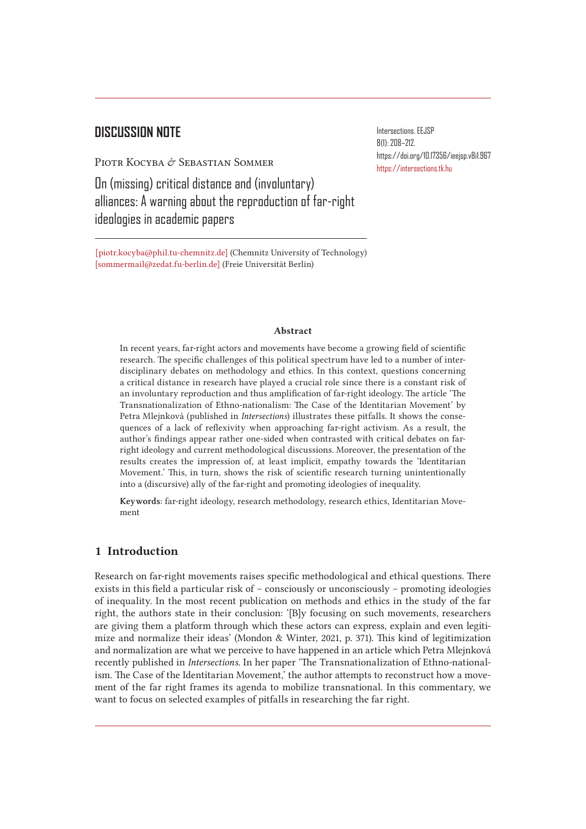# **DISCUSSION NOTE**

PIOTR KOCYBA & SEBASTIAN SOMMER

On (missing) critical distance and (involuntary) alliances: A warning about the reproduction of far-right ideologies in academic papers

[piotr.kocyba@phil.tu-chemnitz.de] (Chemnitz University of Technology)  [sommermail@zedat.fu-berlin.de] (Freie Universität Berlin)

#### Abstract

In recent years, far-right actors and movements have become a growing field of scientific research. The specific challenges of this political spectrum have led to a number of interdisciplinary debates on methodology and ethics. In this context, questions concerning a critical distance in research have played a crucial role since there is a constant risk of an involuntary reproduction and thus amplification of far-right ideology. The article 'The Transnationalization of Ethno-nationalism: The Case of the Identitarian Movement' by Petra Mlejnková (published in *Intersections*) illustrates these pitfalls. It shows the consequences of a lack of reflexivity when approaching far-right activism. As a result, the author's findings appear rather one-sided when contrasted with critical debates on farright ideology and current methodological discussions. Moreover, the presentation of the results creates the impression of, at least implicit, empathy towards the 'Identitarian Movement.' This, in turn, shows the risk of scientific research turning unintentionally into a (discursive) ally of the far-right and promoting ideologies of inequality.

Keywords: far-right ideology, research methodology, research ethics, Identitarian Movement

## 1 Introduction

Research on far-right movements raises specific methodological and ethical questions. There exists in this field a particular risk of – consciously or unconsciously – promoting ideologies of inequality. In the most recent publication on methods and ethics in the study of the far right, the authors state in their conclusion: '[B]y focusing on such movements, researchers are giving them a platform through which these actors can express, explain and even legitimize and normalize their ideas' (Mondon & Winter, 2021, p. 371). This kind of legitimization and normalization are what we perceive to have happened in an article which Petra Mlejnková recently published in *Intersections*. In her paper 'The Transnationalization of Ethno-nationalism. The Case of the Identitarian Movement,' the author attempts to reconstruct how a movement of the far right frames its agenda to mobilize transnational. In this commentary, we want to focus on selected examples of pitfalls in researching the far right.

Intersections. EEJSP 8(1): 208–212. https://doi.org/10.17356/ieejsp.v8i1.967 https://intersections.tk.hu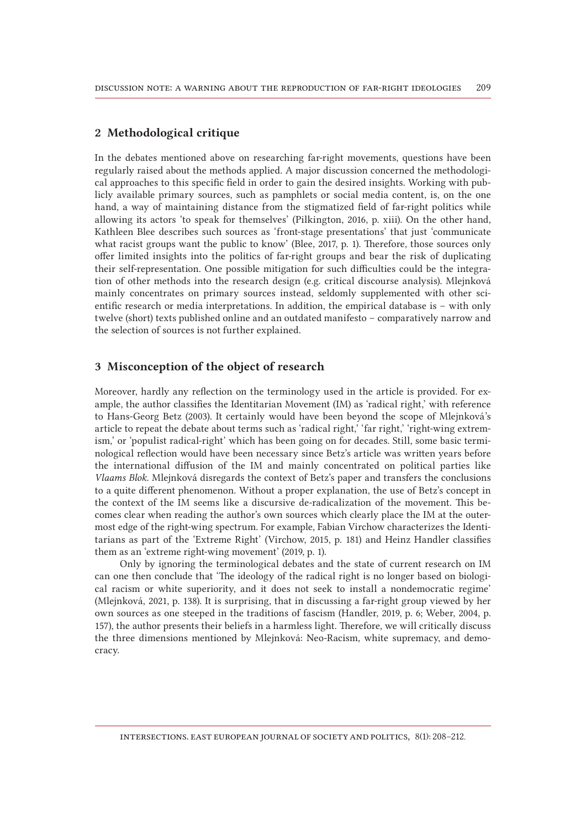## 2 Methodological critique

In the debates mentioned above on researching far-right movements, questions have been regularly raised about the methods applied. A major discussion concerned the methodological approaches to this specific field in order to gain the desired insights. Working with publicly available primary sources, such as pamphlets or social media content, is, on the one hand, a way of maintaining distance from the stigmatized field of far-right politics while allowing its actors 'to speak for themselves' (Pilkington, 2016, p. xiii). On the other hand, Kathleen Blee describes such sources as 'front-stage presentations' that just 'communicate what racist groups want the public to know' (Blee, 2017, p. 1). Therefore, those sources only offer limited insights into the politics of far-right groups and bear the risk of duplicating their self-representation. One possible mitigation for such difficulties could be the integration of other methods into the research design (e.g. critical discourse analysis). Mlejnková mainly concentrates on primary sources instead, seldomly supplemented with other scientific research or media interpretations. In addition, the empirical database is – with only twelve (short) texts published online and an outdated manifesto – comparatively narrow and the selection of sources is not further explained.

### 3 Misconception of the object of research

Moreover, hardly any reflection on the terminology used in the article is provided. For example, the author classifies the Identitarian Movement (IM) as 'radical right,' with reference to Hans-Georg Betz (2003). It certainly would have been beyond the scope of Mlejnková's article to repeat the debate about terms such as 'radical right,' 'far right,' 'right-wing extremism,' or 'populist radical-right' which has been going on for decades. Still, some basic terminological reflection would have been necessary since Betz's article was written years before the international diffusion of the IM and mainly concentrated on political parties like *Vlaams Blok*. Mlejnková disregards the context of Betz's paper and transfers the conclusions to a quite different phenomenon. Without a proper explanation, the use of Betz's concept in the context of the IM seems like a discursive de-radicalization of the movement. This becomes clear when reading the author's own sources which clearly place the IM at the outermost edge of the right-wing spectrum. For example, Fabian Virchow characterizes the Identitarians as part of the 'Extreme Right' (Virchow, 2015, p. 181) and Heinz Handler classifies them as an 'extreme right-wing movement' (2019, p. 1).

Only by ignoring the terminological debates and the state of current research on IM can one then conclude that 'The ideology of the radical right is no longer based on biological racism or white superiority, and it does not seek to install a nondemocratic regime' (Mlejnková, 2021, p. 138). It is surprising, that in discussing a far-right group viewed by her own sources as one steeped in the traditions of fascism (Handler, 2019, p. 6; Weber, 2004, p. 157), the author presents their beliefs in a harmless light. Therefore, we will critically discuss the three dimensions mentioned by Mlejnková: Neo-Racism, white supremacy, and democracy.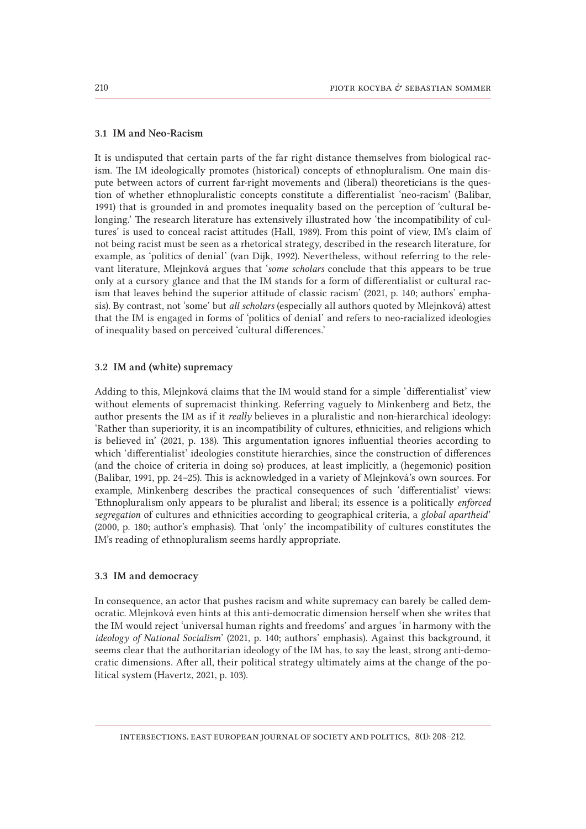#### 3.1 IM and Neo-Racism

It is undisputed that certain parts of the far right distance themselves from biological racism. The IM ideologically promotes (historical) concepts of ethnopluralism. One main dispute between actors of current far-right movements and (liberal) theoreticians is the question of whether ethnopluralistic concepts constitute a differentialist 'neo-racism' (Balibar, 1991) that is grounded in and promotes inequality based on the perception of 'cultural belonging.' The research literature has extensively illustrated how 'the incompatibility of cultures' is used to conceal racist attitudes (Hall, 1989). From this point of view, IM's claim of not being racist must be seen as a rhetorical strategy, described in the research literature, for example, as 'politics of denial' (van Dijk, 1992). Nevertheless, without referring to the relevant literature, Mlejnková argues that '*some scholars* conclude that this appears to be true only at a cursory glance and that the IM stands for a form of differentialist or cultural racism that leaves behind the superior attitude of classic racism' (2021, p. 140; authors' emphasis). By contrast, not 'some' but *all scholars* (especially all authors quoted by Mlejnková) attest that the IM is engaged in forms of 'politics of denial' and refers to neo-racialized ideologies of inequality based on perceived 'cultural differences.'

#### 3.2 IM and (white) supremacy

Adding to this, Mlejnková claims that the IM would stand for a simple 'differentialist' view without elements of supremacist thinking. Referring vaguely to Minkenberg and Betz, the author presents the IM as if it *really* believes in a pluralistic and non-hierarchical ideology: 'Rather than superiority, it is an incompatibility of cultures, ethnicities, and religions which is believed in' (2021, p. 138). This argumentation ignores influential theories according to which 'differentialist' ideologies constitute hierarchies, since the construction of differences (and the choice of criteria in doing so) produces, at least implicitly, a (hegemonic) position (Balibar, 1991, pp. 24–25). This is acknowledged in a variety of Mlejnková's own sources. For example, Minkenberg describes the practical consequences of such 'differentialist' views: 'Ethnopluralism only appears to be pluralist and liberal; its essence is a politically *enforced segregation* of cultures and ethnicities according to geographical criteria, a *global apartheid*' (2000, p. 180; author's emphasis). That 'only' the incompatibility of cultures constitutes the IM's reading of ethnopluralism seems hardly appropriate.

## 3.3 IM and democracy

In consequence, an actor that pushes racism and white supremacy can barely be called democratic. Mlejnková even hints at this anti-democratic dimension herself when she writes that the IM would reject 'universal human rights and freedoms' and argues 'in harmony with the *ideology of National Socialism*' (2021, p. 140; authors' emphasis). Against this background, it seems clear that the authoritarian ideology of the IM has, to say the least, strong anti-democratic dimensions. After all, their political strategy ultimately aims at the change of the political system (Havertz, 2021, p. 103).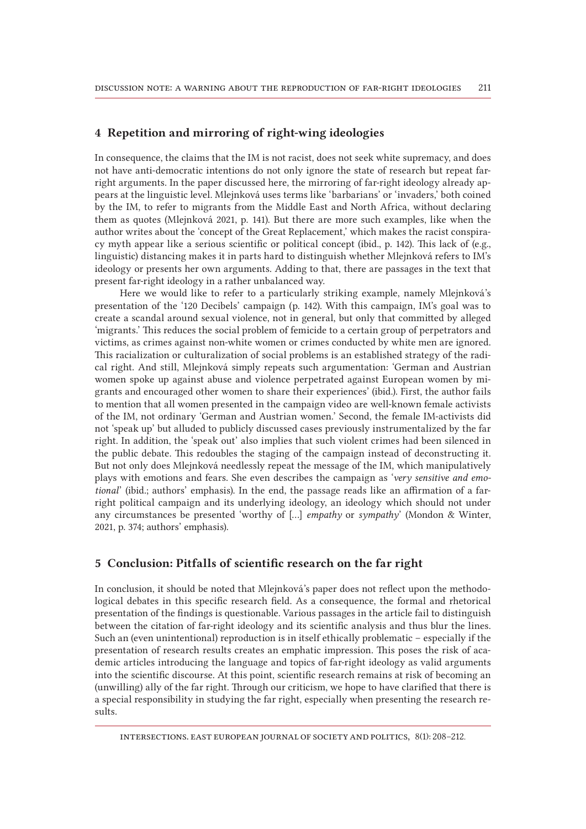## 4 Repetition and mirroring of right-wing ideologies

In consequence, the claims that the IM is not racist, does not seek white supremacy, and does not have anti-democratic intentions do not only ignore the state of research but repeat farright arguments. In the paper discussed here, the mirroring of far-right ideology already appears at the linguistic level. Mlejnková uses terms like 'barbarians' or 'invaders,' both coined by the IM, to refer to migrants from the Middle East and North Africa, without declaring them as quotes (Mlejnková 2021, p. 141). But there are more such examples, like when the author writes about the 'concept of the Great Replacement,' which makes the racist conspiracy myth appear like a serious scientific or political concept (ibid., p. 142). This lack of (e.g., linguistic) distancing makes it in parts hard to distinguish whether Mlejnková refers to IM's ideology or presents her own arguments. Adding to that, there are passages in the text that present far-right ideology in a rather unbalanced way.

Here we would like to refer to a particularly striking example, namely Mlejnková's presentation of the '120 Decibels' campaign (p. 142). With this campaign, IM's goal was to create a scandal around sexual violence, not in general, but only that committed by alleged 'migrants.' This reduces the social problem of femicide to a certain group of perpetrators and victims, as crimes against non-white women or crimes conducted by white men are ignored. This racialization or culturalization of social problems is an established strategy of the radical right. And still, Mlejnková simply repeats such argumentation: 'German and Austrian women spoke up against abuse and violence perpetrated against European women by migrants and encouraged other women to share their experiences' (ibid.). First, the author fails to mention that all women presented in the campaign video are well-known female activists of the IM, not ordinary 'German and Austrian women.' Second, the female IM-activists did not 'speak up' but alluded to publicly discussed cases previously instrumentalized by the far right. In addition, the 'speak out' also implies that such violent crimes had been silenced in the public debate. This redoubles the staging of the campaign instead of deconstructing it. But not only does Mlejnková needlessly repeat the message of the IM, which manipulatively plays with emotions and fears. She even describes the campaign as '*very sensitive and emotional*' (ibid.; authors' emphasis). In the end, the passage reads like an affirmation of a farright political campaign and its underlying ideology, an ideology which should not under any circumstances be presented 'worthy of [...] *empathy* or *sympathy*' (Mondon & Winter, 2021, p. 374; authors' emphasis).

## 5 Conclusion: Pitfalls of scientific research on the far right

In conclusion, it should be noted that Mlejnková's paper does not reflect upon the methodological debates in this specific research field. As a consequence, the formal and rhetorical presentation of the findings is questionable. Various passages in the article fail to distinguish between the citation of far-right ideology and its scientific analysis and thus blur the lines. Such an (even unintentional) reproduction is in itself ethically problematic – especially if the presentation of research results creates an emphatic impression. This poses the risk of academic articles introducing the language and topics of far-right ideology as valid arguments into the scientific discourse. At this point, scientific research remains at risk of becoming an (unwilling) ally of the far right. Through our criticism, we hope to have clarified that there is a special responsibility in studying the far right, especially when presenting the research results.